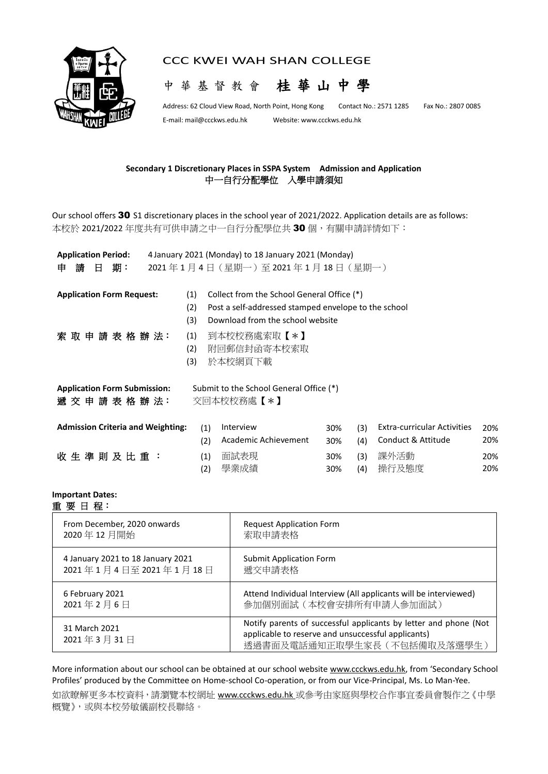

## CCC KWEI WAH SHAN COLLEGE



Address: 62 Cloud View Road, North Point, Hong Kong Contact No.: 2571 1285 Fax No.: 2807 0085

E-mail[: mail@ccckws.edu.hk](mailto:mail@ccckws.edu.hk) Website: www.ccckws.edu.hk

## **Secondary 1 Discretionary Places in SSPA System Admission and Application** 中一自行分配學位入學申請須知

Our school offers 30 S1 discretionary places in the school year of 2021/2022. Application details are as follows: 本校於 2021/2022 年度共有可供申請之中一自行分配學位共 30 個, 有關申請詳情如下:

| <b>Application Period:</b>               |     | 4 January 2021 (Monday) to 18 January 2021 (Monday)  |     |     |                                    |     |
|------------------------------------------|-----|------------------------------------------------------|-----|-----|------------------------------------|-----|
| 請<br>期:<br>日<br>申                        |     | 2021年1月4日 (星期一)至2021年1月18日 (星期一)                     |     |     |                                    |     |
|                                          |     |                                                      |     |     |                                    |     |
| <b>Application Form Request:</b>         | (1) | Collect from the School General Office (*)           |     |     |                                    |     |
|                                          | (2) | Post a self-addressed stamped envelope to the school |     |     |                                    |     |
|                                          | (3) | Download from the school website                     |     |     |                                    |     |
| 索取申請表格辦法:                                | (1) | 到本校校務處索取【*】                                          |     |     |                                    |     |
|                                          | (2) | 附回郵信封函寄本校索取                                          |     |     |                                    |     |
|                                          | (3) | 於本校網頁下載                                              |     |     |                                    |     |
|                                          |     |                                                      |     |     |                                    |     |
| <b>Application Form Submission:</b>      |     | Submit to the School General Office (*)              |     |     |                                    |     |
| 遞 交 申 請 表 格 辦 法:                         |     | 交回本校校務處【*】                                           |     |     |                                    |     |
|                                          |     |                                                      |     |     |                                    |     |
| <b>Admission Criteria and Weighting:</b> | (1) | Interview                                            | 30% | (3) | <b>Extra-curricular Activities</b> | 20% |
|                                          | (2) | Academic Achievement                                 | 30% | (4) | Conduct & Attitude                 | 20% |
| 收生 準 則 及 比 重 :                           | (1) | 面試表現                                                 | 30% | (3) | 課外活動                               | 20% |
|                                          | (2) | 學業成績                                                 | 30% | (4) | 操行及態度                              | 20% |

## **Important Dates:** 重 要 日 程:

| From December, 2020 onwards       | <b>Request Application Form</b>                                                                                                                        |
|-----------------------------------|--------------------------------------------------------------------------------------------------------------------------------------------------------|
| 2020年12月開始                        | 索取申請表格                                                                                                                                                 |
| 4 January 2021 to 18 January 2021 | <b>Submit Application Form</b>                                                                                                                         |
| 2021年1月4日至2021年1月18日              | 遞交申請表格                                                                                                                                                 |
| 6 February 2021                   | Attend Individual Interview (All applicants will be interviewed)                                                                                       |
| 2021年2月6日                         | 參加個別面試(本校會安排所有申請人參加面試)                                                                                                                                 |
| 31 March 2021<br>2021年3月31日       | Notify parents of successful applicants by letter and phone (Not<br>applicable to reserve and unsuccessful applicants)<br>透過書面及電話通知正取學生家長 (不包括備取及落選學生) |

More information about our school can be obtained at our school website [www.ccckws.edu.hk,](http://www.ccckws.edu.hk/) from 'Secondary School Profiles' produced by the Committee on Home-school Co-operation, or from our Vice-Principal, Ms. Lo Man-Yee.

如欲瞭解更多本校資料,請瀏覽本校網址 [www.ccckws.edu.hk](http://www.ccckws.edu.hk/) 或參考由家庭與學校合作事宜委員會製作之《中學 概覽》,或與本校勞敏儀副校長聯絡。